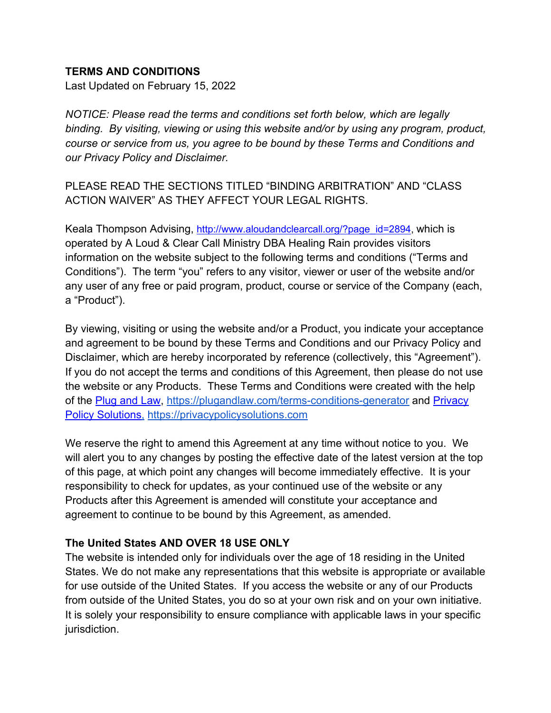#### **TERMS AND CONDITIONS**

Last Updated on February 15, 2022

*NOTICE: Please read the terms and conditions set forth below, which are legally binding. By visiting, viewing or using this website and/or by using any program, product, course or service from us, you agree to be bound by these Terms and Conditions and our Privacy Policy and Disclaimer.*

PLEASE READ THE SECTIONS TITLED "BINDING ARBITRATION" AND "CLASS ACTION WAIVER" AS THEY AFFECT YOUR LEGAL RIGHTS.

Keala Thompson Advising, http://www.aloudandclearcall.org/?page\_id=2894, which is operated by A Loud & Clear Call Ministry DBA Healing Rain provides visitors information on the website subject to the following terms and conditions ("Terms and Conditions"). The term "you" refers to any visitor, viewer or user of the website and/or any user of any free or paid program, product, course or service of the Company (each, a "Product").

By viewing, visiting or using the website and/or a Product, you indicate your acceptance and agreement to be bound by these Terms and Conditions and our Privacy Policy and Disclaimer, which are hereby incorporated by reference (collectively, this "Agreement"). If you do not accept the terms and conditions of this Agreement, then please do not use the website or any Products. These Terms and Conditions were created with the help of the Plug and Law, https://plugandlaw.com/terms-conditions-generator and Privacy Policy Solutions, https://privacypolicysolutions.com

We reserve the right to amend this Agreement at any time without notice to you. We will alert you to any changes by posting the effective date of the latest version at the top of this page, at which point any changes will become immediately effective. It is your responsibility to check for updates, as your continued use of the website or any Products after this Agreement is amended will constitute your acceptance and agreement to continue to be bound by this Agreement, as amended.

#### **The United States AND OVER 18 USE ONLY**

The website is intended only for individuals over the age of 18 residing in the United States. We do not make any representations that this website is appropriate or available for use outside of the United States. If you access the website or any of our Products from outside of the United States, you do so at your own risk and on your own initiative. It is solely your responsibility to ensure compliance with applicable laws in your specific jurisdiction.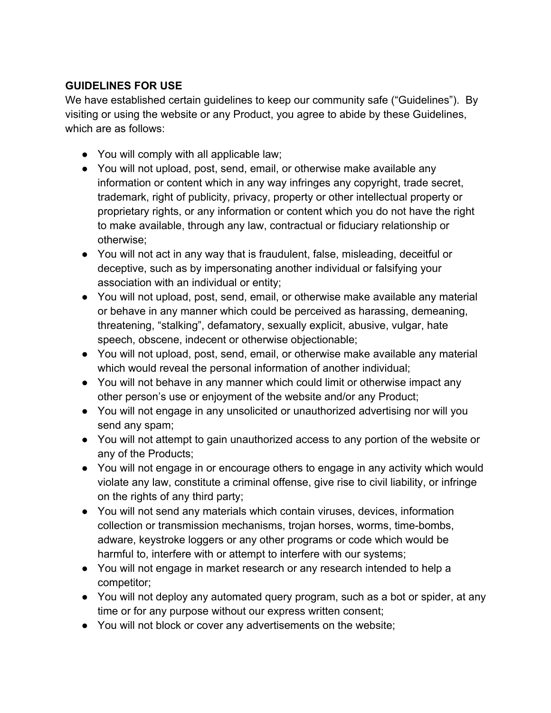# **GUIDELINES FOR USE**

We have established certain guidelines to keep our community safe ("Guidelines"). By visiting or using the website or any Product, you agree to abide by these Guidelines, which are as follows:

- You will comply with all applicable law;
- You will not upload, post, send, email, or otherwise make available any information or content which in any way infringes any copyright, trade secret, trademark, right of publicity, privacy, property or other intellectual property or proprietary rights, or any information or content which you do not have the right to make available, through any law, contractual or fiduciary relationship or otherwise;
- You will not act in any way that is fraudulent, false, misleading, deceitful or deceptive, such as by impersonating another individual or falsifying your association with an individual or entity;
- You will not upload, post, send, email, or otherwise make available any material or behave in any manner which could be perceived as harassing, demeaning, threatening, "stalking", defamatory, sexually explicit, abusive, vulgar, hate speech, obscene, indecent or otherwise objectionable;
- You will not upload, post, send, email, or otherwise make available any material which would reveal the personal information of another individual;
- You will not behave in any manner which could limit or otherwise impact any other person's use or enjoyment of the website and/or any Product;
- You will not engage in any unsolicited or unauthorized advertising nor will you send any spam;
- You will not attempt to gain unauthorized access to any portion of the website or any of the Products;
- You will not engage in or encourage others to engage in any activity which would violate any law, constitute a criminal offense, give rise to civil liability, or infringe on the rights of any third party;
- You will not send any materials which contain viruses, devices, information collection or transmission mechanisms, trojan horses, worms, time-bombs, adware, keystroke loggers or any other programs or code which would be harmful to, interfere with or attempt to interfere with our systems;
- You will not engage in market research or any research intended to help a competitor;
- You will not deploy any automated query program, such as a bot or spider, at any time or for any purpose without our express written consent;
- You will not block or cover any advertisements on the website;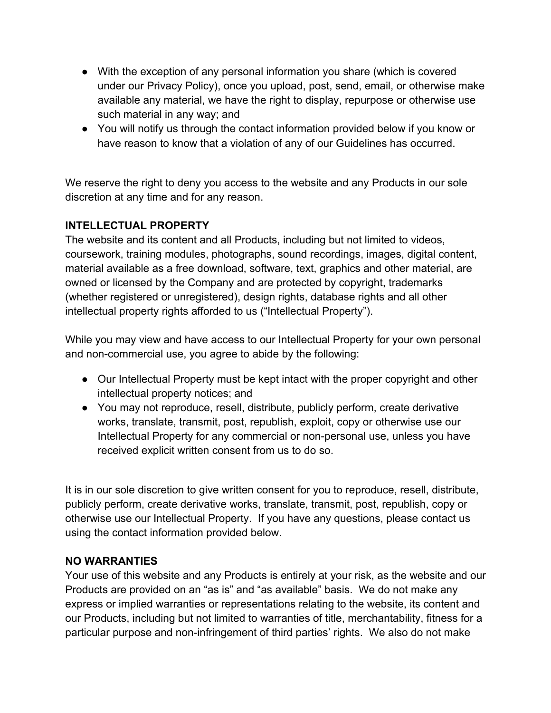- With the exception of any personal information you share (which is covered under our Privacy Policy), once you upload, post, send, email, or otherwise make available any material, we have the right to display, repurpose or otherwise use such material in any way; and
- You will notify us through the contact information provided below if you know or have reason to know that a violation of any of our Guidelines has occurred.

We reserve the right to deny you access to the website and any Products in our sole discretion at any time and for any reason.

## **INTELLECTUAL PROPERTY**

The website and its content and all Products, including but not limited to videos, coursework, training modules, photographs, sound recordings, images, digital content, material available as a free download, software, text, graphics and other material, are owned or licensed by the Company and are protected by copyright, trademarks (whether registered or unregistered), design rights, database rights and all other intellectual property rights afforded to us ("Intellectual Property").

While you may view and have access to our Intellectual Property for your own personal and non-commercial use, you agree to abide by the following:

- Our Intellectual Property must be kept intact with the proper copyright and other intellectual property notices; and
- You may not reproduce, resell, distribute, publicly perform, create derivative works, translate, transmit, post, republish, exploit, copy or otherwise use our Intellectual Property for any commercial or non-personal use, unless you have received explicit written consent from us to do so.

It is in our sole discretion to give written consent for you to reproduce, resell, distribute, publicly perform, create derivative works, translate, transmit, post, republish, copy or otherwise use our Intellectual Property. If you have any questions, please contact us using the contact information provided below.

## **NO WARRANTIES**

Your use of this website and any Products is entirely at your risk, as the website and our Products are provided on an "as is" and "as available" basis. We do not make any express or implied warranties or representations relating to the website, its content and our Products, including but not limited to warranties of title, merchantability, fitness for a particular purpose and non-infringement of third parties' rights. We also do not make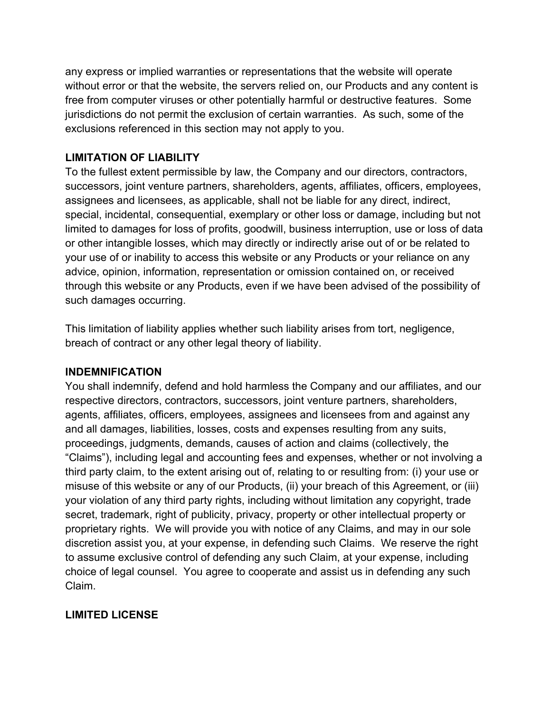any express or implied warranties or representations that the website will operate without error or that the website, the servers relied on, our Products and any content is free from computer viruses or other potentially harmful or destructive features. Some jurisdictions do not permit the exclusion of certain warranties. As such, some of the exclusions referenced in this section may not apply to you.

#### **LIMITATION OF LIABILITY**

To the fullest extent permissible by law, the Company and our directors, contractors, successors, joint venture partners, shareholders, agents, affiliates, officers, employees, assignees and licensees, as applicable, shall not be liable for any direct, indirect, special, incidental, consequential, exemplary or other loss or damage, including but not limited to damages for loss of profits, goodwill, business interruption, use or loss of data or other intangible losses, which may directly or indirectly arise out of or be related to your use of or inability to access this website or any Products or your reliance on any advice, opinion, information, representation or omission contained on, or received through this website or any Products, even if we have been advised of the possibility of such damages occurring.

This limitation of liability applies whether such liability arises from tort, negligence, breach of contract or any other legal theory of liability.

#### **INDEMNIFICATION**

You shall indemnify, defend and hold harmless the Company and our affiliates, and our respective directors, contractors, successors, joint venture partners, shareholders, agents, affiliates, officers, employees, assignees and licensees from and against any and all damages, liabilities, losses, costs and expenses resulting from any suits, proceedings, judgments, demands, causes of action and claims (collectively, the "Claims"), including legal and accounting fees and expenses, whether or not involving a third party claim, to the extent arising out of, relating to or resulting from: (i) your use or misuse of this website or any of our Products, (ii) your breach of this Agreement, or (iii) your violation of any third party rights, including without limitation any copyright, trade secret, trademark, right of publicity, privacy, property or other intellectual property or proprietary rights. We will provide you with notice of any Claims, and may in our sole discretion assist you, at your expense, in defending such Claims. We reserve the right to assume exclusive control of defending any such Claim, at your expense, including choice of legal counsel. You agree to cooperate and assist us in defending any such Claim.

## **LIMITED LICENSE**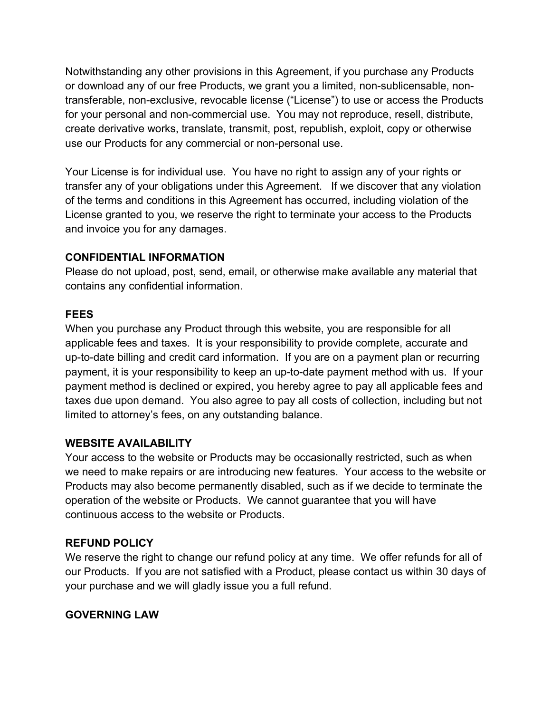Notwithstanding any other provisions in this Agreement, if you purchase any Products or download any of our free Products, we grant you a limited, non-sublicensable, nontransferable, non-exclusive, revocable license ("License") to use or access the Products for your personal and non-commercial use. You may not reproduce, resell, distribute, create derivative works, translate, transmit, post, republish, exploit, copy or otherwise use our Products for any commercial or non-personal use.

Your License is for individual use. You have no right to assign any of your rights or transfer any of your obligations under this Agreement. If we discover that any violation of the terms and conditions in this Agreement has occurred, including violation of the License granted to you, we reserve the right to terminate your access to the Products and invoice you for any damages.

## **CONFIDENTIAL INFORMATION**

Please do not upload, post, send, email, or otherwise make available any material that contains any confidential information.

## **FEES**

When you purchase any Product through this website, you are responsible for all applicable fees and taxes. It is your responsibility to provide complete, accurate and up-to-date billing and credit card information. If you are on a payment plan or recurring payment, it is your responsibility to keep an up-to-date payment method with us. If your payment method is declined or expired, you hereby agree to pay all applicable fees and taxes due upon demand. You also agree to pay all costs of collection, including but not limited to attorney's fees, on any outstanding balance.

## **WEBSITE AVAILABILITY**

Your access to the website or Products may be occasionally restricted, such as when we need to make repairs or are introducing new features. Your access to the website or Products may also become permanently disabled, such as if we decide to terminate the operation of the website or Products. We cannot guarantee that you will have continuous access to the website or Products.

## **REFUND POLICY**

We reserve the right to change our refund policy at any time. We offer refunds for all of our Products. If you are not satisfied with a Product, please contact us within 30 days of your purchase and we will gladly issue you a full refund.

#### **GOVERNING LAW**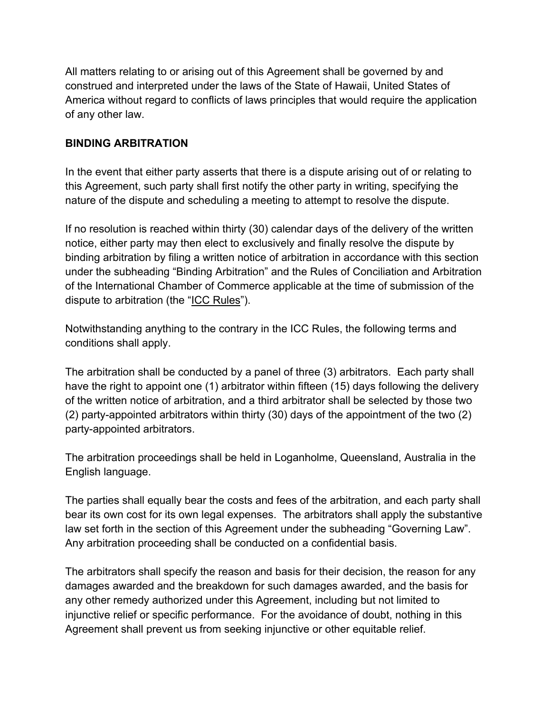All matters relating to or arising out of this Agreement shall be governed by and construed and interpreted under the laws of the State of Hawaii, United States of America without regard to conflicts of laws principles that would require the application of any other law.

## **BINDING ARBITRATION**

In the event that either party asserts that there is a dispute arising out of or relating to this Agreement, such party shall first notify the other party in writing, specifying the nature of the dispute and scheduling a meeting to attempt to resolve the dispute.

If no resolution is reached within thirty (30) calendar days of the delivery of the written notice, either party may then elect to exclusively and finally resolve the dispute by binding arbitration by filing a written notice of arbitration in accordance with this section under the subheading "Binding Arbitration" and the Rules of Conciliation and Arbitration of the International Chamber of Commerce applicable at the time of submission of the dispute to arbitration (the "ICC Rules").

Notwithstanding anything to the contrary in the ICC Rules, the following terms and conditions shall apply.

The arbitration shall be conducted by a panel of three (3) arbitrators. Each party shall have the right to appoint one (1) arbitrator within fifteen (15) days following the delivery of the written notice of arbitration, and a third arbitrator shall be selected by those two (2) party-appointed arbitrators within thirty (30) days of the appointment of the two (2) party-appointed arbitrators.

The arbitration proceedings shall be held in Loganholme, Queensland, Australia in the English language.

The parties shall equally bear the costs and fees of the arbitration, and each party shall bear its own cost for its own legal expenses. The arbitrators shall apply the substantive law set forth in the section of this Agreement under the subheading "Governing Law". Any arbitration proceeding shall be conducted on a confidential basis.

The arbitrators shall specify the reason and basis for their decision, the reason for any damages awarded and the breakdown for such damages awarded, and the basis for any other remedy authorized under this Agreement, including but not limited to injunctive relief or specific performance. For the avoidance of doubt, nothing in this Agreement shall prevent us from seeking injunctive or other equitable relief.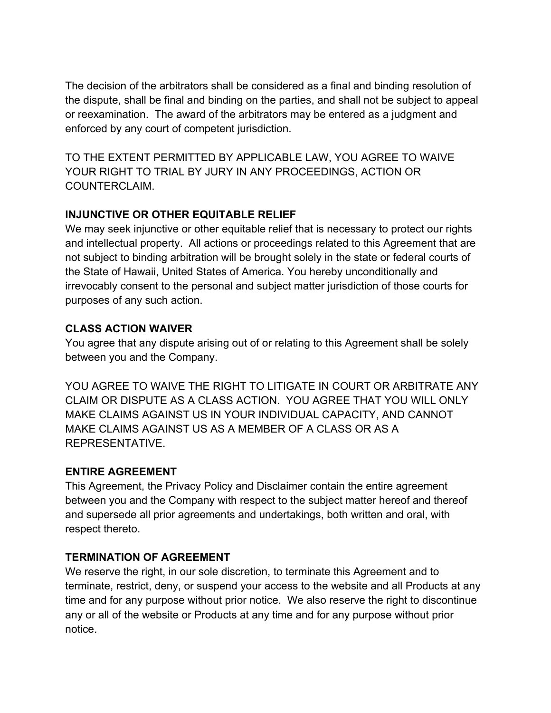The decision of the arbitrators shall be considered as a final and binding resolution of the dispute, shall be final and binding on the parties, and shall not be subject to appeal or reexamination. The award of the arbitrators may be entered as a judgment and enforced by any court of competent jurisdiction.

TO THE EXTENT PERMITTED BY APPLICABLE LAW, YOU AGREE TO WAIVE YOUR RIGHT TO TRIAL BY JURY IN ANY PROCEEDINGS, ACTION OR COUNTERCLAIM.

# **INJUNCTIVE OR OTHER EQUITABLE RELIEF**

We may seek injunctive or other equitable relief that is necessary to protect our rights and intellectual property. All actions or proceedings related to this Agreement that are not subject to binding arbitration will be brought solely in the state or federal courts of the State of Hawaii, United States of America. You hereby unconditionally and irrevocably consent to the personal and subject matter jurisdiction of those courts for purposes of any such action.

## **CLASS ACTION WAIVER**

You agree that any dispute arising out of or relating to this Agreement shall be solely between you and the Company.

YOU AGREE TO WAIVE THE RIGHT TO LITIGATE IN COURT OR ARBITRATE ANY CLAIM OR DISPUTE AS A CLASS ACTION. YOU AGREE THAT YOU WILL ONLY MAKE CLAIMS AGAINST US IN YOUR INDIVIDUAL CAPACITY, AND CANNOT MAKE CLAIMS AGAINST US AS A MEMBER OF A CLASS OR AS A REPRESENTATIVE.

# **ENTIRE AGREEMENT**

This Agreement, the Privacy Policy and Disclaimer contain the entire agreement between you and the Company with respect to the subject matter hereof and thereof and supersede all prior agreements and undertakings, both written and oral, with respect thereto.

# **TERMINATION OF AGREEMENT**

We reserve the right, in our sole discretion, to terminate this Agreement and to terminate, restrict, deny, or suspend your access to the website and all Products at any time and for any purpose without prior notice. We also reserve the right to discontinue any or all of the website or Products at any time and for any purpose without prior notice.